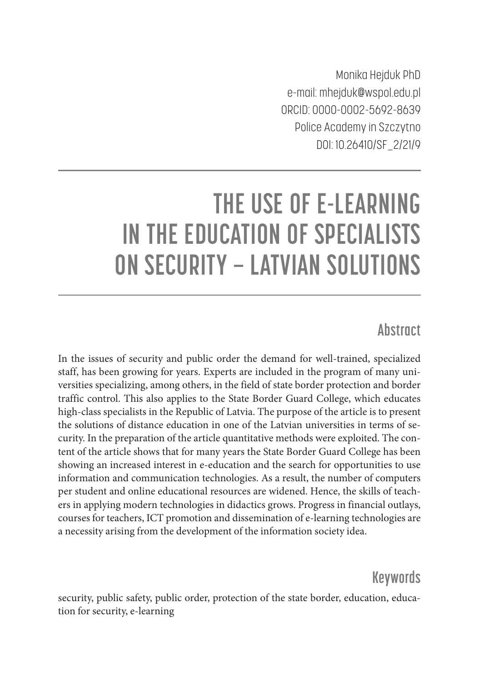Monika Hejduk PhD e-mail: mhejduk@wspol.edu.pl ORCID: 0000-0002-5692-8639 Police Academy in Szczytno DOI: 10.26410/SF\_2/21/9

# **THE USE OF E-LEARNING IN THE EDUCATION OF SPECIALISTS ON SECURITY – LATVIAN SOLUTIONS**

# **Abstract**

In the issues of security and public order the demand for well-trained, specialized staff, has been growing for years. Experts are included in the program of many universities specializing, among others, in the field of state border protection and border traffic control. This also applies to the State Border Guard College, which educates high-class specialists in the Republic of Latvia. The purpose of the article is to present the solutions of distance education in one of the Latvian universities in terms of security. In the preparation of the article quantitative methods were exploited. The content of the article shows that for many years the State Border Guard College has been showing an increased interest in e-education and the search for opportunities to use information and communication technologies. As a result, the number of computers per student and online educational resources are widened. Hence, the skills of teachers in applying modern technologies in didactics grows. Progress in financial outlays, courses for teachers, ICT promotion and dissemination of e-learning technologies are a necessity arising from the development of the information society idea.

# **Keywords**

security, public safety, public order, protection of the state border, education, education for security, e-learning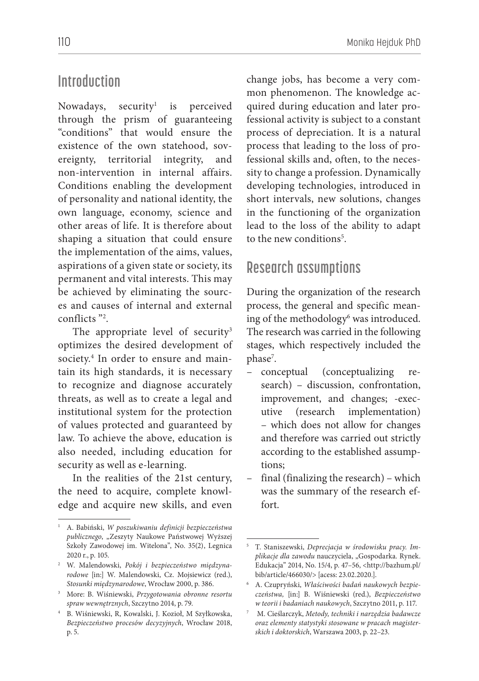## **Introduction**

Nowadays, security $1$  is perceived through the prism of guaranteeing "conditions" that would ensure the existence of the own statehood, sovereignty, territorial integrity, and non-intervention in internal affairs. Conditions enabling the development of personality and national identity, the own language, economy, science and other areas of life. It is therefore about shaping a situation that could ensure the implementation of the aims, values, aspirations of a given state or society, its permanent and vital interests. This may be achieved by eliminating the sources and causes of internal and external conflicts "2 .

The appropriate level of security<sup>3</sup> optimizes the desired development of society.4 In order to ensure and maintain its high standards, it is necessary to recognize and diagnose accurately threats, as well as to create a legal and institutional system for the protection of values protected and guaranteed by law. To achieve the above, education is also needed, including education for security as well as e-learning.

In the realities of the 21st century, the need to acquire, complete knowledge and acquire new skills, and even

change jobs, has become a very common phenomenon. The knowledge acquired during education and later professional activity is subject to a constant process of depreciation. It is a natural process that leading to the loss of professional skills and, often, to the necessity to change a profession. Dynamically developing technologies, introduced in short intervals, new solutions, changes in the functioning of the organization lead to the loss of the ability to adapt to the new conditions<sup>5</sup>.

#### **Research assumptions**

During the organization of the research process, the general and specific meaning of the methodology<sup>6</sup> was introduced. The research was carried in the following stages, which respectively included the phase<sup>7</sup>.

- conceptual (conceptualizing research) – discussion, confrontation, improvement, and changes; -executive (research implementation) – which does not allow for changes and therefore was carried out strictly according to the established assumptions;
- final (finalizing the research) which was the summary of the research effort.

<sup>1</sup> A. Babiński, *W poszukiwaniu definicji bezpieczeństwa publicznego*, "Zeszyty Naukowe Państwowej Wyższej Szkoły Zawodowej im. Witelona", No. 35(2), Legnica 2020 r., p. 105.

<sup>2</sup> W. Malendowski, *Pokój i bezpieczeństwo międzynarodowe* [in:] W. Malendowski, Cz. Mojsiewicz (red.), *Stosunki międzynarodowe*, Wrocław 2000, p. 386.

<sup>3</sup> More: B. Wiśniewski, *Przygotowania obronne resortu spraw wewnętrznych*, Szczytno 2014, p. 79.

<sup>4</sup> B. Wiśniewski, R, Kowalski, J. Kozioł, M Szyłkowska, *Bezpieczeństwo procesów decyzyjnych*, Wrocław 2018, p. 5.

<sup>5</sup> T. Staniszewski, *Deprecjacja w środowisku pracy. Implikacje dla zawodu* nauczyciela, "Gospodarka*.* Rynek. Edukacja" 2014, No. 15/4, p. 47–56, <http://bazhum.pl/ bib/article/466030/> [acess: 23.02.2020.].

<sup>6</sup> A. Czupryński, *Właściwości badań naukowych bezpieczeństwa,* [in:] B. Wiśniewski (red.), *Bezpieczeństwo w teorii i badaniach naukowych*, Szczytno 2011, p. 117.

<sup>7</sup> M. Cieślarczyk, *Metody, techniki i narzędzia badawcze oraz elementy statystyki stosowane w pracach magisterskich i doktorskich*, Warszawa 2003, p. 22–23.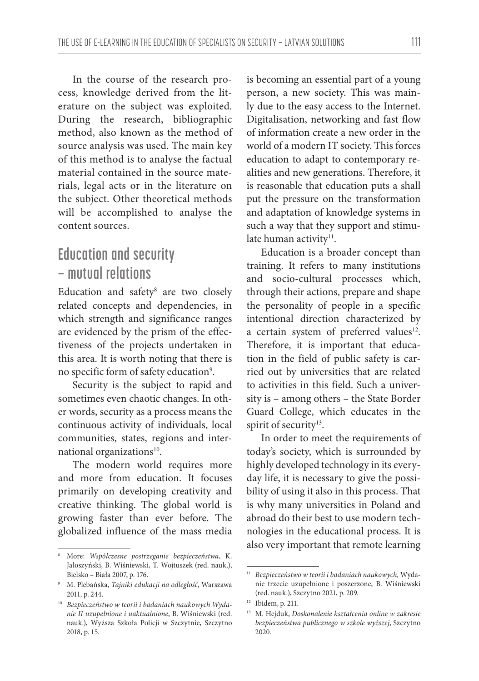In the course of the research process, knowledge derived from the literature on the subject was exploited. During the research, bibliographic method, also known as the method of source analysis was used. The main key of this method is to analyse the factual material contained in the source materials, legal acts or in the literature on the subject. Other theoretical methods will be accomplished to analyse the content sources.

# **Education and security – mutual relations**

Education and safety8 are two closely related concepts and dependencies, in which strength and significance ranges are evidenced by the prism of the effectiveness of the projects undertaken in this area. It is worth noting that there is no specific form of safety education<sup>9</sup>.

Security is the subject to rapid and sometimes even chaotic changes. In other words, security as a process means the continuous activity of individuals, local communities, states, regions and international organizations<sup>10</sup>.

The modern world requires more and more from education. It focuses primarily on developing creativity and creative thinking. The global world is growing faster than ever before. The globalized influence of the mass media

is becoming an essential part of a young person, a new society. This was mainly due to the easy access to the Internet. Digitalisation, networking and fast flow of information create a new order in the world of a modern IT society. This forces education to adapt to contemporary realities and new generations. Therefore, it is reasonable that education puts a shall put the pressure on the transformation and adaptation of knowledge systems in such a way that they support and stimulate human activity<sup>11</sup>.

Education is a broader concept than training. It refers to many institutions and socio-cultural processes which, through their actions, prepare and shape the personality of people in a specific intentional direction characterized by a certain system of preferred values<sup>12</sup>. Therefore, it is important that education in the field of public safety is carried out by universities that are related to activities in this field. Such a university is – among others – the State Border Guard College, which educates in the spirit of security<sup>13</sup>.

In order to meet the requirements of today's society, which is surrounded by highly developed technology in its everyday life, it is necessary to give the possibility of using it also in this process. That is why many universities in Poland and abroad do their best to use modern technologies in the educational process. It is also very important that remote learning

<sup>8</sup> More: *Współczesne postrzeganie bezpieczeństwa*, K. Jałoszyński, B. Wiśniewski, T. Wojtuszek (red. nauk.), Bielsko – Biała 2007, p. 176.

<sup>9</sup> M. Plebańska, *Tajniki edukacji na odległość*, Warszawa 2011, p. 244.

<sup>10</sup> *Bezpieczeństwo w teorii i badaniach naukowych Wydanie II uzupełnione i uaktualnione*, B. Wiśniewski (red. nauk.), Wyższa Szkoła Policji w Szczytnie, Szczytno 2018, p. 15.

<sup>11</sup> *Bezpieczeństwo w teorii i badaniach naukowych,* Wydanie trzecie uzupełnione i poszerzone, B. Wiśniewski (red. nauk.), Szczytno 2021, p. 209.

<sup>12</sup> Ibidem, p. 211.

<sup>13</sup> M. Hejduk, *Doskonalenie kształcenia online w zakresie bezpieczeństwa publicznego w szkole wyższej*, Szczytno 2020.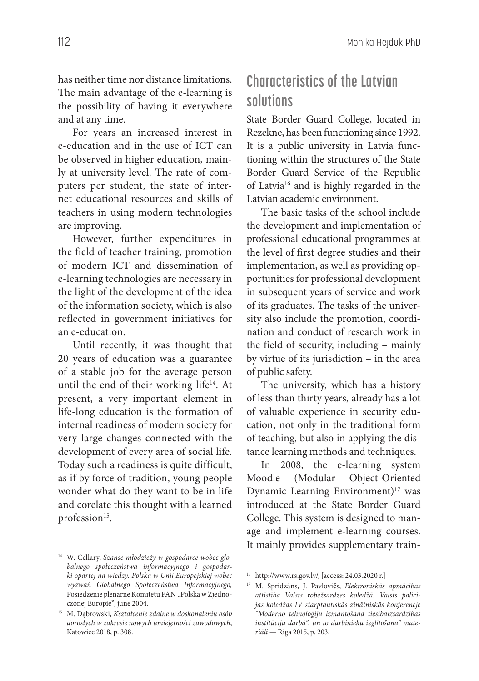has neither time nor distance limitations. The main advantage of the e-learning is the possibility of having it everywhere and at any time.

For years an increased interest in e-education and in the use of ICT can be observed in higher education, mainly at university level. The rate of computers per student, the state of internet educational resources and skills of teachers in using modern technologies are improving.

However, further expenditures in the field of teacher training, promotion of modern ICT and dissemination of e-learning technologies are necessary in the light of the development of the idea of the information society, which is also reflected in government initiatives for an e-education.

Until recently, it was thought that 20 years of education was a guarantee of a stable job for the average person until the end of their working life<sup>14</sup>. At present, a very important element in life-long education is the formation of internal readiness of modern society for very large changes connected with the development of every area of social life. Today such a readiness is quite difficult, as if by force of tradition, young people wonder what do they want to be in life and corelate this thought with a learned profession<sup>15</sup>.

# **Characteristics of the Latvian solutions**

State Border Guard College, located in Rezekne, has been functioning since 1992. It is a public university in Latvia functioning within the structures of the State Border Guard Service of the Republic of Latvia<sup>16</sup> and is highly regarded in the Latvian academic environment.

The basic tasks of the school include the development and implementation of professional educational programmes at the level of first degree studies and their implementation, as well as providing opportunities for professional development in subsequent years of service and work of its graduates. The tasks of the university also include the promotion, coordination and conduct of research work in the field of security, including – mainly by virtue of its jurisdiction – in the area of public safety.

The university, which has a history of less than thirty years, already has a lot of valuable experience in security education, not only in the traditional form of teaching, but also in applying the distance learning methods and techniques.

In 2008, the e-learning system Moodle (Modular Object-Oriented Dynamic Learning Environment)<sup>17</sup> was introduced at the State Border Guard College. This system is designed to manage and implement e-learning courses. It mainly provides supplementary train-

<sup>14</sup> W. Cellary, *Szanse młodzieży w gospodarce wobec globalnego społeczeństwa informacyjnego i gospodarki opartej na wiedzy. Polska w Unii Europejskiej wobec wyzwań Globalnego Społeczeństwa Informacyjnego,*  Posiedzenie plenarne Komitetu PAN "Polska w Zjednoczonej Europie", june 2004.

<sup>15</sup> M. Dąbrowski*, Kształcenie zdalne w doskonaleniu osób dorosłych w zakresie nowych umiejętności zawodowych*, Katowice 2018, p. 308.

<sup>16</sup> http://www.rs.gov.lv/, [access: 24.03.2020 r.]

<sup>17</sup> M. Spridzāns, J. Pavlovi**č**s, *Elektroniskās apmācības attīstība Valsts robežsardzes koledžā. Valsts policijas koledžas IV starptautiskās zinātniskās konferencje "Moderno tehnoloģiju izmantošana tiesībaizsardzības institūciju darbā". un to darbinieku izglītošana" materiāli* — Rīga 2015, p. 203.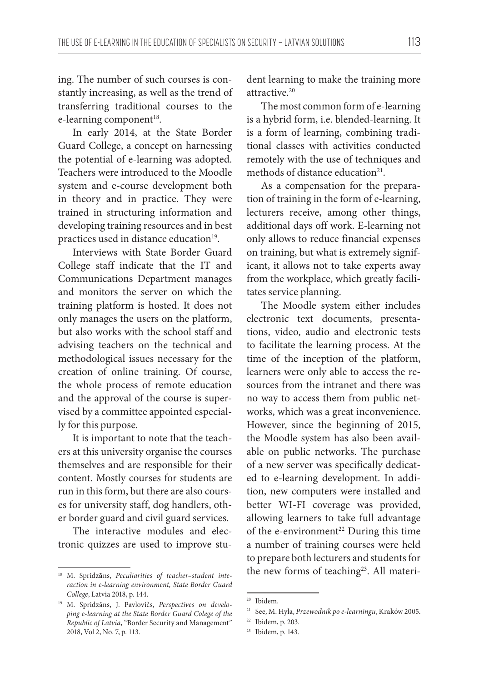ing. The number of such courses is constantly increasing, as well as the trend of transferring traditional courses to the e-learning component<sup>18</sup>.

In early 2014, at the State Border Guard College, a concept on harnessing the potential of e-learning was adopted. Teachers were introduced to the Moodle system and e-course development both in theory and in practice. They were trained in structuring information and developing training resources and in best practices used in distance education<sup>19</sup>.

Interviews with State Border Guard College staff indicate that the IT and Communications Department manages and monitors the server on which the training platform is hosted. It does not only manages the users on the platform, but also works with the school staff and advising teachers on the technical and methodological issues necessary for the creation of online training. Of course, the whole process of remote education and the approval of the course is supervised by a committee appointed especially for this purpose.

It is important to note that the teachers at this university organise the courses themselves and are responsible for their content. Mostly courses for students are run in this form, but there are also courses for university staff, dog handlers, other border guard and civil guard services.

The interactive modules and electronic quizzes are used to improve student learning to make the training more attractive.20

The most common form of e-learning is a hybrid form, i.e. blended-learning. It is a form of learning, combining traditional classes with activities conducted remotely with the use of techniques and methods of distance education<sup>21</sup>.

As a compensation for the preparation of training in the form of e-learning, lecturers receive, among other things, additional days off work. E-learning not only allows to reduce financial expenses on training, but what is extremely significant, it allows not to take experts away from the workplace, which greatly facilitates service planning.

The Moodle system either includes electronic text documents, presentations, video, audio and electronic tests to facilitate the learning process. At the time of the inception of the platform, learners were only able to access the resources from the intranet and there was no way to access them from public networks, which was a great inconvenience. However, since the beginning of 2015, the Moodle system has also been available on public networks. The purchase of a new server was specifically dedicated to e-learning development. In addition, new computers were installed and better WI-FI coverage was provided, allowing learners to take full advantage of the e-environment<sup>22</sup> During this time a number of training courses were held to prepare both lecturers and students for the new forms of teaching<sup>23</sup>. All materi-

<sup>18</sup> M. Spridz**ā**ns, *Peculiarities of teacher–student interaction in e-learning environment, State Border Guard College*, Latvia 2018, p. 144.

<sup>19</sup> M. Spridzāns, J. Pavlovičs, *Perspectives on developing e-learning at the State Border Guard Colege of the Republic of Latvia*, "Border Security and Management" 2018, Vol 2, No. 7, p. 113.

<sup>20</sup> Ibidem.

<sup>21</sup> See, M. Hyla, *Przewodnik po e-learningu*, Kraków 2005.

<sup>22</sup> Ibidem, p. 203.

<sup>23</sup> Ibidem, p. 143.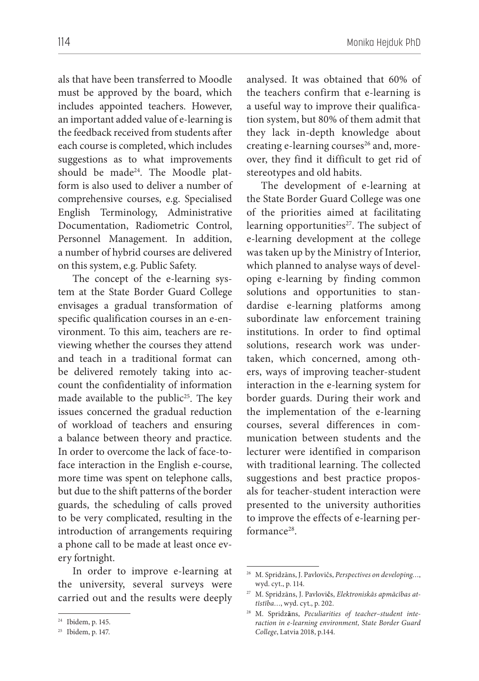als that have been transferred to Moodle must be approved by the board, which includes appointed teachers. However, an important added value of e-learning is the feedback received from students after each course is completed, which includes suggestions as to what improvements should be made<sup>24</sup>. The Moodle platform is also used to deliver a number of comprehensive courses, e.g. Specialised English Terminology, Administrative Documentation, Radiometric Control, Personnel Management. In addition, a number of hybrid courses are delivered on this system, e.g. Public Safety.

The concept of the e-learning system at the State Border Guard College envisages a gradual transformation of specific qualification courses in an e-environment. To this aim, teachers are reviewing whether the courses they attend and teach in a traditional format can be delivered remotely taking into account the confidentiality of information made available to the public<sup>25</sup>. The key issues concerned the gradual reduction of workload of teachers and ensuring a balance between theory and practice. In order to overcome the lack of face-toface interaction in the English e-course, more time was spent on telephone calls, but due to the shift patterns of the border guards, the scheduling of calls proved to be very complicated, resulting in the introduction of arrangements requiring a phone call to be made at least once every fortnight.

In order to improve e-learning at the university, several surveys were carried out and the results were deeply analysed. It was obtained that 60% of the teachers confirm that e-learning is a useful way to improve their qualification system, but 80% of them admit that they lack in-depth knowledge about creating e-learning courses<sup>26</sup> and, moreover, they find it difficult to get rid of stereotypes and old habits.

The development of e-learning at the State Border Guard College was one of the priorities aimed at facilitating learning opportunities<sup>27</sup>. The subject of e-learning development at the college was taken up by the Ministry of Interior, which planned to analyse ways of developing e-learning by finding common solutions and opportunities to standardise e-learning platforms among subordinate law enforcement training institutions. In order to find optimal solutions, research work was undertaken, which concerned, among others, ways of improving teacher-student interaction in the e-learning system for border guards. During their work and the implementation of the e-learning courses, several differences in communication between students and the lecturer were identified in comparison with traditional learning. The collected suggestions and best practice proposals for teacher-student interaction were presented to the university authorities to improve the effects of e-learning performance<sup>28</sup>.

<sup>24</sup> Ibidem, p. 145.

<sup>25</sup> Ibidem, p. 147.

<sup>26</sup> M. Spridzāns, J. Pavlovičs, *Perspectives on developing…*, wyd. cyt., p. 114.

<sup>27</sup> M. Spridzāns, J. Pavlovi**č**s, *Elektroniskās apmācības attīstība…*, wyd. cyt., p. 202.

<sup>28</sup> M. Spridz**ā**ns, *Peculiarities of teacher–student interaction in e-learning environment, State Border Guard College*, Latvia 2018, p.144.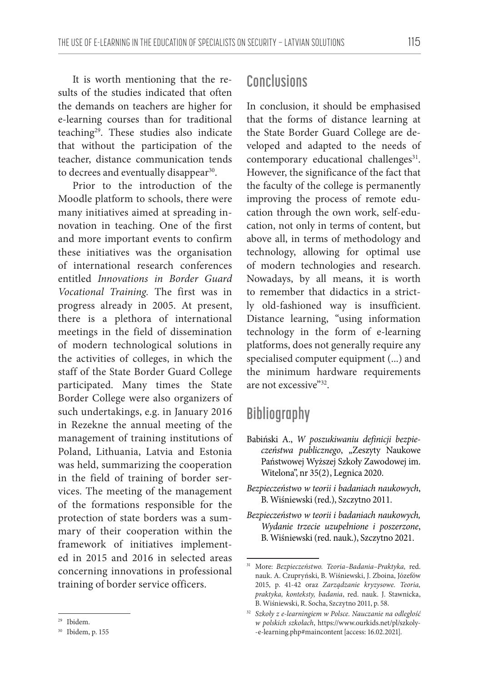It is worth mentioning that the results of the studies indicated that often the demands on teachers are higher for e-learning courses than for traditional teaching29. These studies also indicate that without the participation of the teacher, distance communication tends to decrees and eventually disappear<sup>30</sup>.

Prior to the introduction of the Moodle platform to schools, there were many initiatives aimed at spreading innovation in teaching. One of the first and more important events to confirm these initiatives was the organisation of international research conferences entitled *Innovations in Border Guard Vocational Training.* The first was in progress already in 2005. At present, there is a plethora of international meetings in the field of dissemination of modern technological solutions in the activities of colleges, in which the staff of the State Border Guard College participated. Many times the State Border College were also organizers of such undertakings, e.g. in January 2016 in Rezekne the annual meeting of the management of training institutions of Poland, Lithuania, Latvia and Estonia was held, summarizing the cooperation in the field of training of border services. The meeting of the management of the formations responsible for the protection of state borders was a summary of their cooperation within the framework of initiatives implemented in 2015 and 2016 in selected areas concerning innovations in professional training of border service officers.

## **Conclusions**

In conclusion, it should be emphasised that the forms of distance learning at the State Border Guard College are developed and adapted to the needs of contemporary educational challenges<sup>31</sup>. However, the significance of the fact that the faculty of the college is permanently improving the process of remote education through the own work, self-education, not only in terms of content, but above all, in terms of methodology and technology, allowing for optimal use of modern technologies and research. Nowadays, by all means, it is worth to remember that didactics in a strictly old-fashioned way is insufficient. Distance learning, "using information technology in the form of e-learning platforms, does not generally require any specialised computer equipment (...) and the minimum hardware requirements are not excessive"32.

#### **Bibliography**

- Babiński A., *W poszukiwaniu definicji bezpieczeństwa publicznego*, "Zeszyty Naukowe Państwowej Wyższej Szkoły Zawodowej im. Witelona", nr 35(2) , Legnica 2020.
- *Bezpieczeństwo w teorii i badaniach naukowych*, B. Wiśniewski (red.), Szczytno 2011.
- *Bezpieczeństwo w teorii i badaniach naukowych, Wydanie trzecie uzupełnione i poszerzone*, B. Wiśniewski (red. nauk.), Szczytno 2021.

<sup>29</sup> Ibidem.

<sup>30</sup> Ibidem, p. 155

<sup>31</sup> More: *Bezpieczeństwo. Teoria–Badania–Praktyka,* red. nauk. A. Czupryński, B. Wiśniewski, J. Zboina, Józefów 2015, p. 41-42 oraz *Zarządzanie kryzysowe. Teoria, praktyka, konteksty, badania*, red. nauk. J. Stawnicka, B. Wiśniewski, R. Socha, Szczytno 2011, p. 58.

<sup>32</sup> *Szkoły z e-learningiem w Polsce. Nauczanie na odległość w polskich szkołach*, https://www.ourkids.net/pl/szkoly- -e-learning.php#maincontent [access: 16.02.2021].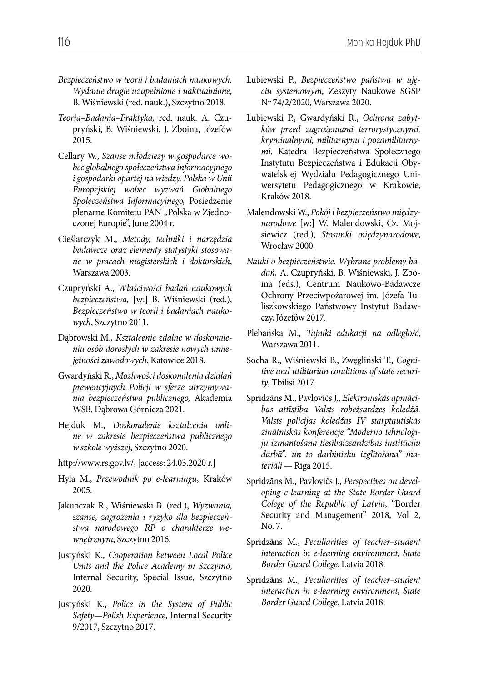- *Bezpieczeństwo w teorii i badaniach naukowych. Wydanie drugie uzupełnione i uaktualnione*, B. Wiśniewski (red. nauk.), Szczytno 2018.
- *Teoria–Badania–Praktyka,* red. nauk. A. Czupryński, B. Wiśniewski, J. Zboina, Józefów 2015.
- Cellary W., *Szanse młodzieży w gospodarce wobec globalnego społeczeństwa informacyjnego i gospodarki opartej na wiedzy. Polska w Unii Europejskiej wobec wyzwań Globalnego Społeczeństwa Informacyjnego,* Posiedzenie plenarne Komitetu PAN "Polska w Zjednoczonej Europie", June 2004 r.
- Cieślarczyk M., *Metody, techniki i narzędzia badawcze oraz elementy statystyki stosowane w pracach magisterskich i doktorskich*, Warszawa 2003.
- Czupryński A., *Właściwości badań naukowych bezpieczeństwa,* [w:] B. Wiśniewski (red.), *Bezpieczeństwo w teorii i badaniach naukowych*, Szczytno 2011.
- Dąbrowski M.*, Kształcenie zdalne w doskonaleniu osób dorosłych w zakresie nowych umiejętności zawodowych*, Katowice 2018.
- Gwardyński R., *Możliwości doskonalenia działań prewencyjnych Policji w sferze utrzymywania bezpieczeństwa publicznego,* Akademia WSB, Dąbrowa Górnicza 2021.
- Hejduk M., *Doskonalenie kształcenia online w zakresie bezpieczeństwa publicznego w szkole wyższej*, Szczytno 2020.
- http://www.rs.gov.lv/, [access: 24.03.2020 r.]
- Hyla M., *Przewodnik po e-learningu*, Kraków 2005.
- Jakubczak R., Wiśniewski B. (red.), *Wyzwania, szanse, zagrożenia i ryzyko dla bezpieczeństwa narodowego RP o charakterze wewnętrznym*, Szczytno 2016.
- Justyński K., *Cooperation between Local Police Units and the Police Academy in Szczytno*, Internal Security, Special Issue, Szczytno 2020.
- Justyński K., *Police in the System of Public Safety—Polish Experience*, Internal Security 9/2017, Szczytno 2017.
- Lubiewski P., *Bezpieczeństwo państwa w ujęciu systemowym*, Zeszyty Naukowe SGSP Nr 74/2/2020, Warszawa 2020.
- Lubiewski P., Gwardyński R., *Ochrona zabytków przed zagrożeniami terrorystycznymi, kryminalnymi, militarnymi i pozamilitarnymi*, Katedra Bezpieczeństwa Społecznego Instytutu Bezpieczeństwa i Edukacji Obywatelskiej Wydziału Pedagogicznego Uniwersytetu Pedagogicznego w Krakowie, Kraków 2018.
- Malendowski W., *Pokój i bezpieczeństwo międzynarodowe* [w:] W. Malendowski, Cz. Mojsiewicz (red.), *Stosunki międzynarodowe*, Wrocław 2000.
- *Nauki o bezpieczeństwie. Wybrane problemy badań,* A. Czupryński, B. Wiśniewski, J. Zboina (eds.), Centrum Naukowo-Badawcze Ochrony Przeciwpożarowej im. Józefa Tuliszkowskiego Państwowy Instytut Badawczy, Józefów 2017.
- Plebańska M., *Tajniki edukacji na odległość*, Warszawa 2011.
- Socha R., Wiśniewski B., Zwęgliński T., *Cognitive and utilitarian conditions of state security*, Tbilisi 2017.
- Spridzāns M., Pavlovičs J., *Elektroniskās apmācības attīstība Valsts robežsardzes koledžā. Valsts policijas koledžas IV starptautiskās zinātniskās konferencje "Moderno tehnoloģiju izmantošana tiesībaizsardzības institūciju darbā". un to darbinieku izglītošana" materiāli* — Rīga 2015.
- Spridzāns M., Pavlovičs J., *Perspectives on developing e-learning at the State Border Guard Colege of the Republic of Latvia*, "Border Security and Management" 2018, Vol 2, No. 7.
- Spridz**ā**ns M., *Peculiarities of teacher–student interaction in e-learning environment, State Border Guard College*, Latvia 2018.
- Spridz**ā**ns M., *Peculiarities of teacher–student interaction in e-learning environment, State Border Guard College*, Latvia 2018.